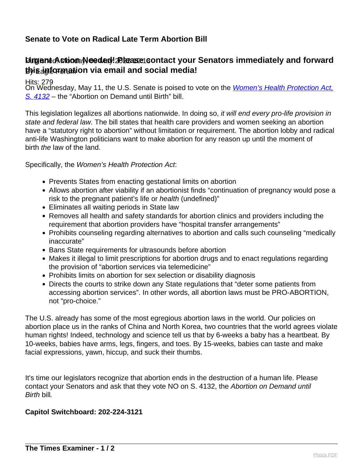## **Senate to Vote on Radical Late Term Abortion Bill**

## Burgent Action Needed! *Blease* **contact your Senators immediately and forward** By Eagle Forum **this information via email and social media!**

Hits: 279

On Wednesday, May 11, the U.S. Senate is poised to vote on the *Women's Health Protection Act*, [S. 4132](https://eagleforum.us14.list-manage.com/track/click?u=cf281a096a7f20fa26c87fe14&id=d0185374a7&e=52009b76ba) – the "Abortion on Demand until Birth" bill.

This legislation legalizes all abortions nationwide. In doing so, it will end every pro-life provision in state and federal law. The bill states that health care providers and women seeking an abortion have a "statutory right to abortion" without limitation or requirement. The abortion lobby and radical anti-life Washington politicians want to make abortion for any reason up until the moment of birth the law of the land.

Specifically, the Women's Health Protection Act:

- Prevents States from enacting gestational limits on abortion
- Allows abortion after viability if an abortionist finds "continuation of pregnancy would pose a risk to the pregnant patient's life or health (undefined)"
- Eliminates all waiting periods in State law
- Removes all health and safety standards for abortion clinics and providers including the requirement that abortion providers have "hospital transfer arrangements"
- Prohibits counseling regarding alternatives to abortion and calls such counseling "medically inaccurate"
- Bans State requirements for ultrasounds before abortion
- Makes it illegal to limit prescriptions for abortion drugs and to enact regulations regarding the provision of "abortion services via telemedicine"
- Prohibits limits on abortion for sex selection or disability diagnosis
- Directs the courts to strike down any State regulations that "deter some patients from accessing abortion services". In other words, all abortion laws must be PRO-ABORTION, not "pro-choice."

The U.S. already has some of the most egregious abortion laws in the world. Our policies on abortion place us in the ranks of China and North Korea, two countries that the world agrees violate human rights! Indeed, technology and science tell us that by 6-weeks a baby has a heartbeat. By 10-weeks, babies have arms, legs, fingers, and toes. By 15-weeks, babies can taste and make facial expressions, yawn, hiccup, and suck their thumbs.

It's time our legislators recognize that abortion ends in the destruction of a human life. Please contact your Senators and ask that they vote NO on S. 4132, the Abortion on Demand until Birth bill.

## **Capitol Switchboard: 202-224-3121**